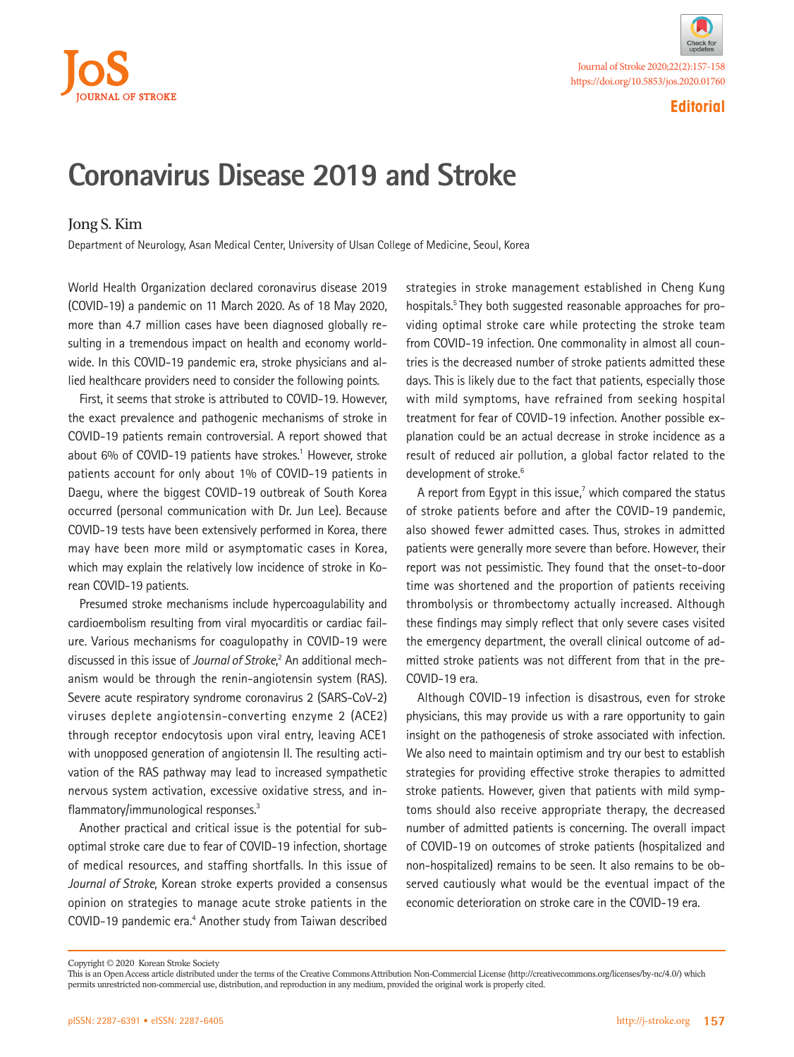



**Editorial**

## **Coronavirus Disease 2019 and Stroke**

## Jong S. Kim

Department of Neurology, Asan Medical Center, University of Ulsan College of Medicine, Seoul, Korea

World Health Organization declared coronavirus disease 2019 (COVID-19) a pandemic on 11 March 2020. As of 18 May 2020, more than 4.7 million cases have been diagnosed globally resulting in a tremendous impact on health and economy worldwide. In this COVID-19 pandemic era, stroke physicians and allied healthcare providers need to consider the following points.

First, it seems that stroke is attributed to COVID-19. However, the exact prevalence and pathogenic mechanisms of stroke in COVID-19 patients remain controversial. A report showed that about 6% of COVID-19 patients have strokes.<sup>1</sup> However, stroke patients account for only about 1% of COVID-19 patients in Daegu, where the biggest COVID-19 outbreak of South Korea occurred (personal communication with Dr. Jun Lee). Because COVID-19 tests have been extensively performed in Korea, there may have been more mild or asymptomatic cases in Korea, which may explain the relatively low incidence of stroke in Korean COVID-19 patients.

Presumed stroke mechanisms include hypercoagulability and cardioembolism resulting from viral myocarditis or cardiac failure. Various mechanisms for coagulopathy in COVID-19 were discussed in this issue of *Journal of Stroke*,<sup>2</sup> An additional mechanism would be through the renin-angiotensin system (RAS). Severe acute respiratory syndrome coronavirus 2 (SARS-CoV-2) viruses deplete angiotensin-converting enzyme 2 (ACE2) through receptor endocytosis upon viral entry, leaving ACE1 with unopposed generation of angiotensin II. The resulting activation of the RAS pathway may lead to increased sympathetic nervous system activation, excessive oxidative stress, and inflammatory/immunological responses.<sup>3</sup>

Another practical and critical issue is the potential for suboptimal stroke care due to fear of COVID-19 infection, shortage of medical resources, and staffing shortfalls. In this issue of *Journal of Stroke*, Korean stroke experts provided a consensus opinion on strategies to manage acute stroke patients in the COVID-19 pandemic era.<sup>4</sup> Another study from Taiwan described strategies in stroke management established in Cheng Kung hospitals.<sup>5</sup> They both suggested reasonable approaches for providing optimal stroke care while protecting the stroke team from COVID-19 infection. One commonality in almost all countries is the decreased number of stroke patients admitted these days. This is likely due to the fact that patients, especially those with mild symptoms, have refrained from seeking hospital treatment for fear of COVID-19 infection. Another possible explanation could be an actual decrease in stroke incidence as a result of reduced air pollution, a global factor related to the development of stroke.<sup>6</sup>

A report from Egypt in this issue,<sup>7</sup> which compared the status of stroke patients before and after the COVID-19 pandemic, also showed fewer admitted cases. Thus, strokes in admitted patients were generally more severe than before. However, their report was not pessimistic. They found that the onset-to-door time was shortened and the proportion of patients receiving thrombolysis or thrombectomy actually increased. Although these findings may simply reflect that only severe cases visited the emergency department, the overall clinical outcome of admitted stroke patients was not different from that in the pre-COVID-19 era.

Although COVID-19 infection is disastrous, even for stroke physicians, this may provide us with a rare opportunity to gain insight on the pathogenesis of stroke associated with infection. We also need to maintain optimism and try our best to establish strategies for providing effective stroke therapies to admitted stroke patients. However, given that patients with mild symptoms should also receive appropriate therapy, the decreased number of admitted patients is concerning. The overall impact of COVID-19 on outcomes of stroke patients (hospitalized and non-hospitalized) remains to be seen. It also remains to be observed cautiously what would be the eventual impact of the economic deterioration on stroke care in the COVID-19 era.

Copyright © 2020 Korean Stroke Society

This is an Open Access article distributed under the terms of the Creative Commons Attribution Non-Commercial License (http://creativecommons.org/licenses/by-nc/4.0/) which permits unrestricted non-commercial use, distribution, and reproduction in any medium, provided the original work is properly cited.